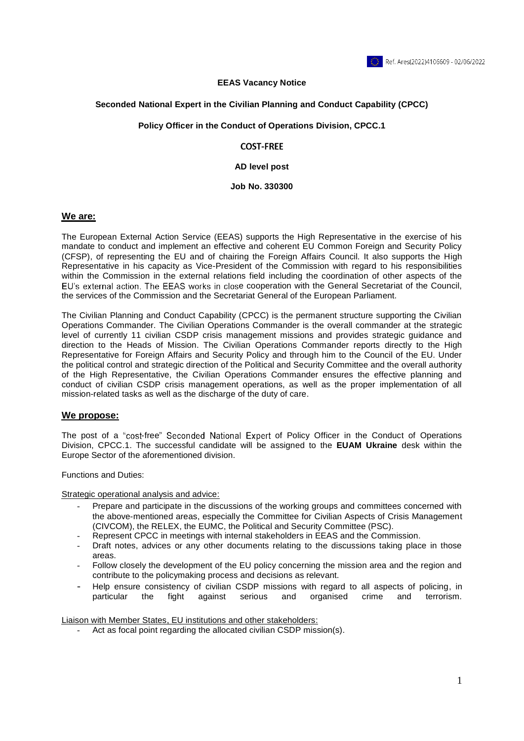

### **EEAS Vacancy Notice**

### **Seconded National Expert in the Civilian Planning and Conduct Capability (CPCC)**

#### **Policy Officer in the Conduct of Operations Division, CPCC.1**

### **COST-FREE**

#### **AD level post**

#### **Job No. 330300**

### **We are:**

The European External Action Service (EEAS) supports the High Representative in the exercise of his mandate to conduct and implement an effective and coherent EU Common Foreign and Security Policy (CFSP), of representing the EU and of chairing the Foreign Affairs Council. It also supports the High Representative in his capacity as Vice-President of the Commission with regard to his responsibilities within the Commission in the external relations field including the coordination of other aspects of the EU's external action. The EEAS works in close cooperation with the General Secretariat of the Council, the services of the Commission and the Secretariat General of the European Parliament.

The Civilian Planning and Conduct Capability (CPCC) is the permanent structure supporting the Civilian Operations Commander. The Civilian Operations Commander is the overall commander at the strategic level of currently 11 civilian CSDP crisis management missions and provides strategic guidance and direction to the Heads of Mission. The Civilian Operations Commander reports directly to the High Representative for Foreign Affairs and Security Policy and through him to the Council of the EU. Under the political control and strategic direction of the Political and Security Committee and the overall authority of the High Representative, the Civilian Operations Commander ensures the effective planning and conduct of civilian CSDP crisis management operations, as well as the proper implementation of all mission-related tasks as well as the discharge of the duty of care.

### **We propose:**

The post of a "cost-free" Seconded National Expert of Policy Officer in the Conduct of Operations Division, CPCC.1. The successful candidate will be assigned to the **EUAM Ukraine** desk within the Europe Sector of the aforementioned division.

Functions and Duties:

Strategic operational analysis and advice:

- Prepare and participate in the discussions of the working groups and committees concerned with the above-mentioned areas, especially the Committee for Civilian Aspects of Crisis Management (CIVCOM), the RELEX, the EUMC, the Political and Security Committee (PSC).
- Represent CPCC in meetings with internal stakeholders in EEAS and the Commission.
- Draft notes, advices or any other documents relating to the discussions taking place in those areas.
- Follow closely the development of the EU policy concerning the mission area and the region and contribute to the policymaking process and decisions as relevant.
- Help ensure consistency of civilian CSDP missions with regard to all aspects of policing, in particular the fight against serious and organised crime and terrorism.

Liaison with Member States, EU institutions and other stakeholders:

- Act as focal point regarding the allocated civilian CSDP mission(s).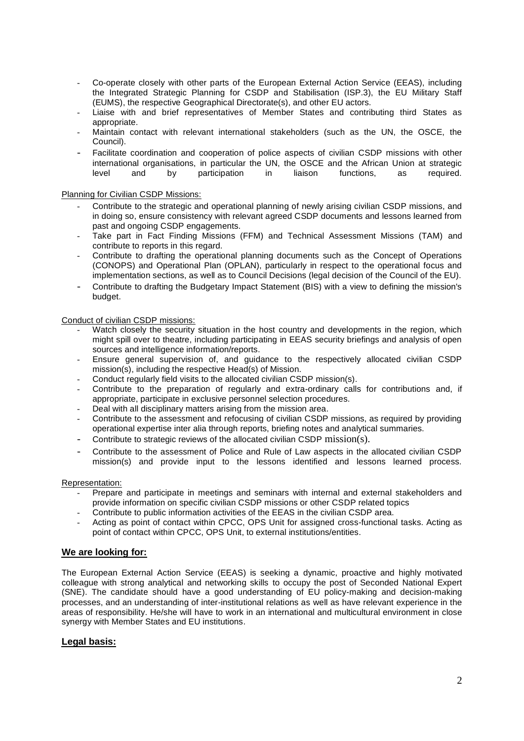- Co-operate closely with other parts of the European External Action Service (EEAS), including the Integrated Strategic Planning for CSDP and Stabilisation (ISP.3), the EU Military Staff (EUMS), the respective Geographical Directorate(s), and other EU actors.
- Liaise with and brief representatives of Member States and contributing third States as appropriate.
- Maintain contact with relevant international stakeholders (such as the UN, the OSCE, the Council).
- Facilitate coordination and cooperation of police aspects of civilian CSDP missions with other international organisations, in particular the UN, the OSCE and the African Union at strategic level and by participation in liaison functions, as required.

### Planning for Civilian CSDP Missions:

- Contribute to the strategic and operational planning of newly arising civilian CSDP missions, and in doing so, ensure consistency with relevant agreed CSDP documents and lessons learned from past and ongoing CSDP engagements.
- Take part in Fact Finding Missions (FFM) and Technical Assessment Missions (TAM) and contribute to reports in this regard.
- Contribute to drafting the operational planning documents such as the Concept of Operations (CONOPS) and Operational Plan (OPLAN), particularly in respect to the operational focus and implementation sections, as well as to Council Decisions (legal decision of the Council of the EU).
- Contribute to drafting the Budgetary Impact Statement (BIS) with a view to defining the mission's budget.

### Conduct of civilian CSDP missions:

- Watch closely the security situation in the host country and developments in the region, which might spill over to theatre, including participating in EEAS security briefings and analysis of open sources and intelligence information/reports.
- Ensure general supervision of, and guidance to the respectively allocated civilian CSDP mission(s), including the respective Head(s) of Mission.
- Conduct regularly field visits to the allocated civilian CSDP mission(s).
- Contribute to the preparation of regularly and extra-ordinary calls for contributions and, if appropriate, participate in exclusive personnel selection procedures.
- Deal with all disciplinary matters arising from the mission area.
- Contribute to the assessment and refocusing of civilian CSDP missions, as required by providing operational expertise inter alia through reports, briefing notes and analytical summaries.
- Contribute to strategic reviews of the allocated civilian CSDP mission(s).
- Contribute to the assessment of Police and Rule of Law aspects in the allocated civilian CSDP mission(s) and provide input to the lessons identified and lessons learned process.

### Representation:

- Prepare and participate in meetings and seminars with internal and external stakeholders and provide information on specific civilian CSDP missions or other CSDP related topics
- Contribute to public information activities of the EEAS in the civilian CSDP area.
- Acting as point of contact within CPCC, OPS Unit for assigned cross-functional tasks. Acting as point of contact within CPCC, OPS Unit, to external institutions/entities.

# **We are looking for:**

The European External Action Service (EEAS) is seeking a dynamic, proactive and highly motivated colleague with strong analytical and networking skills to occupy the post of Seconded National Expert (SNE). The candidate should have a good understanding of EU policy-making and decision-making processes, and an understanding of inter-institutional relations as well as have relevant experience in the areas of responsibility. He/she will have to work in an international and multicultural environment in close synergy with Member States and EU institutions.

# **Legal basis:**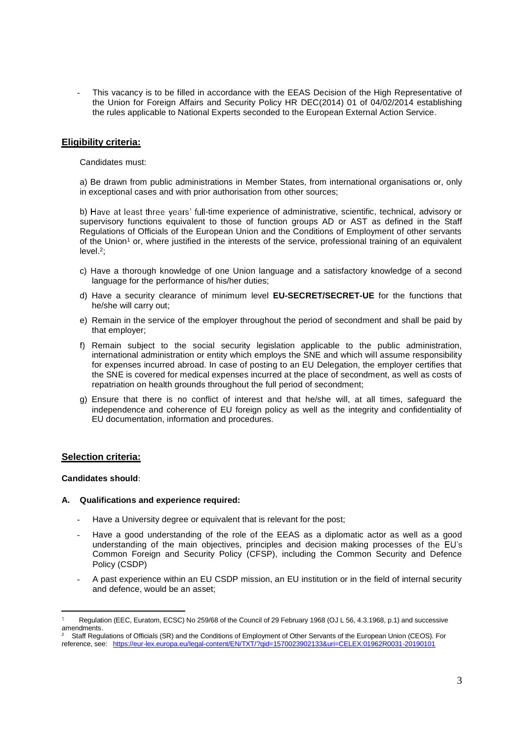- This vacancy is to be filled in accordance with the EEAS Decision of the High Representative of the Union for Foreign Affairs and Security Policy HR DEC(2014) 01 of 04/02/2014 establishing the rules applicable to National Experts seconded to the European External Action Service.

### **Eligibility criteria:**

Candidates must:

a) Be drawn from public administrations in Member States, from international organisations or, only in exceptional cases and with prior authorisation from other sources;

b) Have at least three years' full-time experience of administrative, scientific, technical, advisory or supervisory functions equivalent to those of function groups AD or AST as defined in the Staff Regulations of Officials of the European Union and the Conditions of Employment of other servants of the Union<sup>1</sup> or, where justified in the interests of the service, professional training of an equivalent level.<sup>2</sup> ;

- c) Have a thorough knowledge of one Union language and a satisfactory knowledge of a second language for the performance of his/her duties;
- d) Have a security clearance of minimum level **EU-SECRET/SECRET-UE** for the functions that he/she will carry out;
- e) Remain in the service of the employer throughout the period of secondment and shall be paid by that employer;
- f) Remain subject to the social security legislation applicable to the public administration, international administration or entity which employs the SNE and which will assume responsibility for expenses incurred abroad. In case of posting to an EU Delegation, the employer certifies that the SNE is covered for medical expenses incurred at the place of secondment, as well as costs of repatriation on health grounds throughout the full period of secondment;
- g) Ensure that there is no conflict of interest and that he/she will, at all times, safeguard the independence and coherence of EU foreign policy as well as the integrity and confidentiality of EU documentation, information and procedures.

### **Selection criteria:**

### **Candidates should**:

#### **A. Qualifications and experience required:**

- Have a University degree or equivalent that is relevant for the post;
- Have a good understanding of the role of the EEAS as a diplomatic actor as well as a good understanding of the main objectives, principles and decision making processes of the EU's Common Foreign and Security Policy (CFSP), including the Common Security and Defence Policy (CSDP)
- A past experience within an EU CSDP mission, an EU institution or in the field of internal security and defence, would be an asset;

Regulation (EEC, Euratom, ECSC) No 259/68 of the Council of 29 February 1968 (OJ L 56, 4.3.1968, p.1) and successive amendments.<br><sup>2</sup> Staff Requ

Staff Regulations of Officials (SR) and the Conditions of Employment of Other Servants of the European Union (CEOS). For reference, see: https://eur-lex.europa.eu/legal-content/EN/TXT/?qid=1570023902133&uri=CELEX:01962R0031-20190101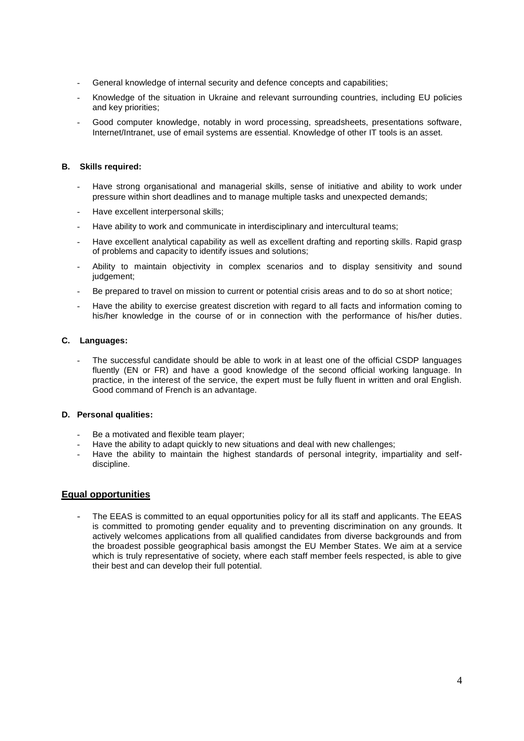- General knowledge of internal security and defence concepts and capabilities;
- Knowledge of the situation in Ukraine and relevant surrounding countries, including EU policies and key priorities;
- Good computer knowledge, notably in word processing, spreadsheets, presentations software, Internet/Intranet, use of email systems are essential. Knowledge of other IT tools is an asset.

### **B. Skills required:**

- Have strong organisational and managerial skills, sense of initiative and ability to work under pressure within short deadlines and to manage multiple tasks and unexpected demands;
- Have excellent interpersonal skills;
- Have ability to work and communicate in interdisciplinary and intercultural teams;
- Have excellent analytical capability as well as excellent drafting and reporting skills. Rapid grasp of problems and capacity to identify issues and solutions;
- Ability to maintain objectivity in complex scenarios and to display sensitivity and sound judgement;
- Be prepared to travel on mission to current or potential crisis areas and to do so at short notice;
- Have the ability to exercise greatest discretion with regard to all facts and information coming to his/her knowledge in the course of or in connection with the performance of his/her duties.

### **C. Languages:**

The successful candidate should be able to work in at least one of the official CSDP languages fluently (EN or FR) and have a good knowledge of the second official working language. In practice, in the interest of the service, the expert must be fully fluent in written and oral English. Good command of French is an advantage.

### **D. Personal qualities:**

- Be a motivated and flexible team player;
- Have the ability to adapt quickly to new situations and deal with new challenges;
- Have the ability to maintain the highest standards of personal integrity, impartiality and selfdiscipline.

# **Equal opportunities**

The EEAS is committed to an equal opportunities policy for all its staff and applicants. The EEAS is committed to promoting gender equality and to preventing discrimination on any grounds. It actively welcomes applications from all qualified candidates from diverse backgrounds and from the broadest possible geographical basis amongst the EU Member States. We aim at a service which is truly representative of society, where each staff member feels respected, is able to give their best and can develop their full potential.